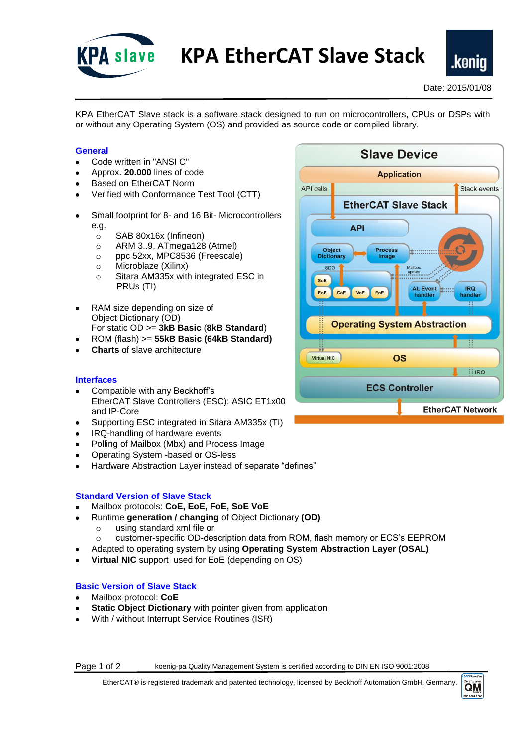

**KPA EtherCAT Slave Stack**

KPA EtherCAT Slave stack is a software stack designed to run on microcontrollers, CPUs or DSPs with or without any Operating System (OS) and provided as source code or compiled library.

# **General**

- Code written in "ANSI C"
- Approx. **20.000** lines of code
- Based on EtherCAT Norm
- Verified with Conformance Test Tool (CTT)
- Small footprint for 8- and 16 Bit- Microcontrollers e.g.
	- o SAB 80x16x (Infineon)
	- o ARM 3..9, ATmega128 (Atmel)
	- o ppc 52xx, MPC8536 (Freescale)
	- o Microblaze [\(Xilinx\)](http://www.koenig-pa.de/crm/index.php?module=Accounts&action=DetailView&record=1884&parenttab=My%20Home%20Page)
	- o Sitara AM335x with integrated ESC in PRUs (TI)
- RAM size depending on size of Object Dictionary (OD) For static OD >= **3kB Basic** (**8kB Standard**)
- ROM (flash) >= **55kB Basic (64kB Standard)**
- **Charts** of slave architecture

## **Interfaces**

- Compatible with any Beckhoff's EtherCAT Slave Controllers (ESC): ASIC ET1x00 and IP-Core
- Supporting ESC integrated in Sitara AM335x (TI)
- IRQ-handling of hardware events
- Polling of Mailbox (Mbx) and Process Image
- Operating System -based or OS-less
- Hardware Abstraction Layer instead of separate "defines"

## **Standard Version of Slave Stack**

- Mailbox protocols: **CoE, EoE, FoE, SoE VoE**
- Runtime **generation / changing** of Object Dictionary **(OD)**
	- o using standard xml file or
	- o customer-specific OD-description data from ROM, flash memory or ECS's EEPROM
- Adapted to operating system by using **Operating System Abstraction Layer (OSAL)**
- **Virtual NIC** support used for EoE (depending on OS)

## **Basic Version of Slave Stack**

- Mailbox protocol: **CoE**
- **Static Object Dictionary** with pointer given from application
- With / without Interrupt Service Routines (ISR)

Page 1 of 2 koenig-pa Quality Management System is certified according to DIN EN ISO 9001:2008

EtherCAT® is registered trademark and patented technology, licensed by Beckhoff Automation GmbH, Germany.